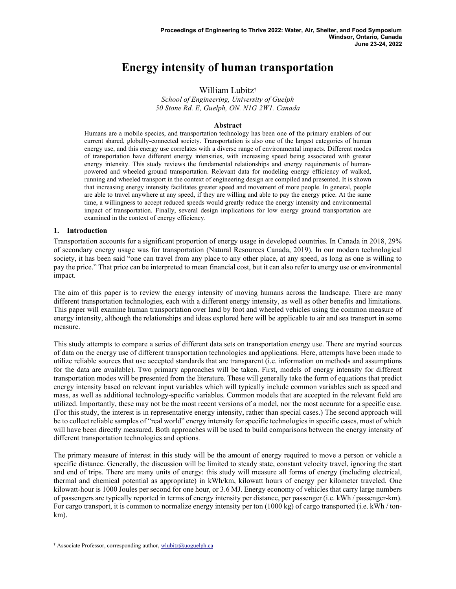# Energy intensity of human transportation

William Lubitz†

School of Engineering, University of Guelph 50 Stone Rd. E, Guelph, ON. N1G 2W1. Canada

#### Abstract

Humans are a mobile species, and transportation technology has been one of the primary enablers of our current shared, globally-connected society. Transportation is also one of the largest categories of human energy use, and this energy use correlates with a diverse range of environmental impacts. Different modes of transportation have different energy intensities, with increasing speed being associated with greater energy intensity. This study reviews the fundamental relationships and energy requirements of humanpowered and wheeled ground transportation. Relevant data for modeling energy efficiency of walked, running and wheeled transport in the context of engineering design are compiled and presented. It is shown that increasing energy intensity facilitates greater speed and movement of more people. In general, people are able to travel anywhere at any speed, if they are willing and able to pay the energy price. At the same time, a willingness to accept reduced speeds would greatly reduce the energy intensity and environmental impact of transportation. Finally, several design implications for low energy ground transportation are examined in the context of energy efficiency.

#### 1. Introduction

Transportation accounts for a significant proportion of energy usage in developed countries. In Canada in 2018, 29% of secondary energy usage was for transportation (Natural Resources Canada, 2019). In our modern technological society, it has been said "one can travel from any place to any other place, at any speed, as long as one is willing to pay the price." That price can be interpreted to mean financial cost, but it can also refer to energy use or environmental impact.

The aim of this paper is to review the energy intensity of moving humans across the landscape. There are many different transportation technologies, each with a different energy intensity, as well as other benefits and limitations. This paper will examine human transportation over land by foot and wheeled vehicles using the common measure of energy intensity, although the relationships and ideas explored here will be applicable to air and sea transport in some measure.

This study attempts to compare a series of different data sets on transportation energy use. There are myriad sources of data on the energy use of different transportation technologies and applications. Here, attempts have been made to utilize reliable sources that use accepted standards that are transparent (i.e. information on methods and assumptions for the data are available). Two primary approaches will be taken. First, models of energy intensity for different transportation modes will be presented from the literature. These will generally take the form of equations that predict energy intensity based on relevant input variables which will typically include common variables such as speed and mass, as well as additional technology-specific variables. Common models that are accepted in the relevant field are utilized. Importantly, these may not be the most recent versions of a model, nor the most accurate for a specific case. (For this study, the interest is in representative energy intensity, rather than special cases.) The second approach will be to collect reliable samples of "real world" energy intensity for specific technologies in specific cases, most of which will have been directly measured. Both approaches will be used to build comparisons between the energy intensity of different transportation technologies and options.

The primary measure of interest in this study will be the amount of energy required to move a person or vehicle a specific distance. Generally, the discussion will be limited to steady state, constant velocity travel, ignoring the start and end of trips. There are many units of energy: this study will measure all forms of energy (including electrical, thermal and chemical potential as appropriate) in kWh/km, kilowatt hours of energy per kilometer traveled. One kilowatt-hour is 1000 Joules per second for one hour, or 3.6 MJ. Energy economy of vehicles that carry large numbers of passengers are typically reported in terms of energy intensity per distance, per passenger (i.e. kWh / passenger-km). For cargo transport, it is common to normalize energy intensity per ton (1000 kg) of cargo transported (i.e. kWh / tonkm).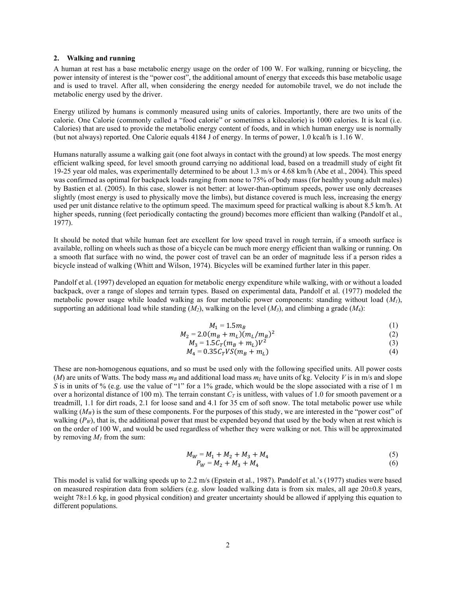#### 2. Walking and running

A human at rest has a base metabolic energy usage on the order of 100 W. For walking, running or bicycling, the power intensity of interest is the "power cost", the additional amount of energy that exceeds this base metabolic usage and is used to travel. After all, when considering the energy needed for automobile travel, we do not include the metabolic energy used by the driver.

Energy utilized by humans is commonly measured using units of calories. Importantly, there are two units of the calorie. One Calorie (commonly called a "food calorie" or sometimes a kilocalorie) is 1000 calories. It is kcal (i.e. Calories) that are used to provide the metabolic energy content of foods, and in which human energy use is normally (but not always) reported. One Calorie equals 4184 J of energy. In terms of power, 1.0 kcal/h is 1.16 W.

Humans naturally assume a walking gait (one foot always in contact with the ground) at low speeds. The most energy efficient walking speed, for level smooth ground carrying no additional load, based on a treadmill study of eight fit 19-25 year old males, was experimentally determined to be about 1.3 m/s or 4.68 km/h (Abe et al., 2004). This speed was confirmed as optimal for backpack loads ranging from none to 75% of body mass (for healthy young adult males) by Bastien et al. (2005). In this case, slower is not better: at lower-than-optimum speeds, power use only decreases slightly (most energy is used to physically move the limbs), but distance covered is much less, increasing the energy used per unit distance relative to the optimum speed. The maximum speed for practical walking is about 8.5 km/h. At higher speeds, running (feet periodically contacting the ground) becomes more efficient than walking (Pandolf et al., 1977).

It should be noted that while human feet are excellent for low speed travel in rough terrain, if a smooth surface is available, rolling on wheels such as those of a bicycle can be much more energy efficient than walking or running. On a smooth flat surface with no wind, the power cost of travel can be an order of magnitude less if a person rides a bicycle instead of walking (Whitt and Wilson, 1974). Bicycles will be examined further later in this paper.

Pandolf et al. (1997) developed an equation for metabolic energy expenditure while walking, with or without a loaded backpack, over a range of slopes and terrain types. Based on experimental data, Pandolf et al. (1977) modeled the metabolic power usage while loaded walking as four metabolic power components: standing without load  $(M<sub>1</sub>)$ , supporting an additional load while standing  $(M_2)$ , walking on the level  $(M_3)$ , and climbing a grade  $(M_4)$ :

$$
M_1 = 1.5 m_B \tag{1}
$$

$$
M_2 = 2.0(m_B + m_L)(m_L/m_B)^2
$$
\n(2)

$$
M_3 = 1.5C_T(m_B + m_L)V^2\tag{3}
$$

$$
M_4 = 0.35 C_T V S (m_B + m_L)
$$
 (4)

These are non-homogenous equations, and so must be used only with the following specified units. All power costs (M) are units of Watts. The body mass  $m_B$  and additional load mass  $m_L$  have units of kg. Velocity V is in m/s and slope S is in units of % (e.g. use the value of "1" for a 1% grade, which would be the slope associated with a rise of 1 m over a horizontal distance of 100 m). The terrain constant  $C_T$  is unitless, with values of 1.0 for smooth pavement or a treadmill, 1.1 for dirt roads, 2.1 for loose sand and 4.1 for 35 cm of soft snow. The total metabolic power use while walking  $(M_W)$  is the sum of these components. For the purposes of this study, we are interested in the "power cost" of walking  $(P_W)$ , that is, the additional power that must be expended beyond that used by the body when at rest which is on the order of 100 W, and would be used regardless of whether they were walking or not. This will be approximated by removing  $M_l$  from the sum:

$$
M_W = M_1 + M_2 + M_3 + M_4 \tag{5}
$$

$$
P_W = M_2 + M_3 + M_4 \tag{6}
$$

This model is valid for walking speeds up to 2.2 m/s (Epstein et al., 1987). Pandolf et al.'s (1977) studies were based on measured respiration data from soldiers (e.g. slow loaded walking data is from six males, all age  $20\pm0.8$  years, weight 78±1.6 kg, in good physical condition) and greater uncertainty should be allowed if applying this equation to different populations.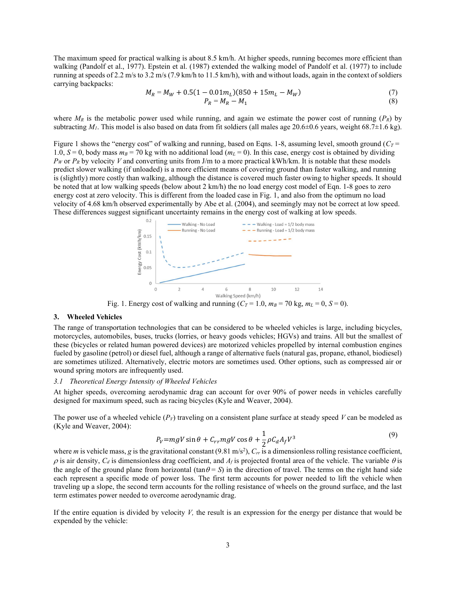The maximum speed for practical walking is about 8.5 km/h. At higher speeds, running becomes more efficient than walking (Pandolf et al., 1977). Epstein et al. (1987) extended the walking model of Pandolf et al. (1977) to include running at speeds of 2.2 m/s to 3.2 m/s (7.9 km/h to 11.5 km/h), with and without loads, again in the context of soldiers carrying backpacks:

$$
M_R = M_W + 0.5(1 - 0.01m_L)(850 + 15m_L - M_W)
$$
  
\n
$$
P_R = M_R - M_1
$$
\n(7)

where  $M_R$  is the metabolic power used while running, and again we estimate the power cost of running ( $P_R$ ) by subtracting  $M_1$ . This model is also based on data from fit soldiers (all males age 20.6±0.6 years, weight 68.7±1.6 kg).

Figure 1 shows the "energy cost" of walking and running, based on Eqns. 1-8, assuming level, smooth ground ( $C_T$  = 1.0,  $S = 0$ , body mass  $m_B = 70$  kg with no additional load ( $m_L = 0$ ). In this case, energy cost is obtained by dividing  $P_W$  or  $P_R$  by velocity V and converting units from J/m to a more practical kWh/km. It is notable that these models predict slower walking (if unloaded) is a more efficient means of covering ground than faster walking, and running is (slightly) more costly than walking, although the distance is covered much faster owing to higher speeds. It should be noted that at low walking speeds (below about 2 km/h) the no load energy cost model of Eqn. 1-8 goes to zero energy cost at zero velocity. This is different from the loaded case in Fig. 1, and also from the optimum no load velocity of 4.68 km/h observed experimentally by Abe et al. (2004), and seemingly may not be correct at low speed. These differences suggest significant uncertainty remains in the energy cost of walking at low speeds.



Fig. 1. Energy cost of walking and running  $(C_T = 1.0, m_B = 70 \text{ kg}, m_L = 0, S = 0)$ .

#### 3. Wheeled Vehicles

The range of transportation technologies that can be considered to be wheeled vehicles is large, including bicycles, motorcycles, automobiles, buses, trucks (lorries, or heavy goods vehicles; HGVs) and trains. All but the smallest of these (bicycles or related human powered devices) are motorized vehicles propelled by internal combustion engines fueled by gasoline (petrol) or diesel fuel, although a range of alternative fuels (natural gas, propane, ethanol, biodiesel) are sometimes utilized. Alternatively, electric motors are sometimes used. Other options, such as compressed air or wound spring motors are infrequently used.

## 3.1 Theoretical Energy Intensity of Wheeled Vehicles

At higher speeds, overcoming aerodynamic drag can account for over 90% of power needs in vehicles carefully designed for maximum speed, such as racing bicycles (Kyle and Weaver, 2004).

The power use of a wheeled vehicle  $(P_V)$  traveling on a consistent plane surface at steady speed V can be modeled as (Kyle and Weaver, 2004):

$$
P_V = mgV \sin \theta + C_{rr} mgV \cos \theta + \frac{1}{2} \rho C_d A_f V^3 \tag{9}
$$

where *m* is vehicle mass, g is the gravitational constant (9.81 m/s<sup>2</sup>),  $C_{rr}$  is a dimensionless rolling resistance coefficient,  $\rho$  is air density,  $C_d$  is dimensionless drag coefficient, and  $A_f$  is projected frontal area of the vehicle. The variable  $\theta$  is the angle of the ground plane from horizontal (tan  $\theta = S$ ) in the direction of travel. The terms on the right hand side each represent a specific mode of power loss. The first term accounts for power needed to lift the vehicle when traveling up a slope, the second term accounts for the rolling resistance of wheels on the ground surface, and the last term estimates power needed to overcome aerodynamic drag.

If the entire equation is divided by velocity  $V$ , the result is an expression for the energy per distance that would be expended by the vehicle: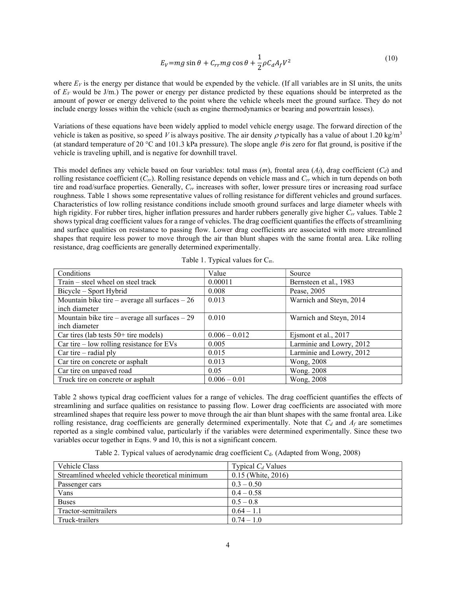$$
E_V = mg \sin \theta + C_{rr} mg \cos \theta + \frac{1}{2} \rho C_d A_f V^2
$$
 (10)

where  $E_V$  is the energy per distance that would be expended by the vehicle. (If all variables are in SI units, the units of  $E_V$  would be J/m.) The power or energy per distance predicted by these equations should be interpreted as the amount of power or energy delivered to the point where the vehicle wheels meet the ground surface. They do not include energy losses within the vehicle (such as engine thermodynamics or bearing and powertrain losses).

Variations of these equations have been widely applied to model vehicle energy usage. The forward direction of the vehicle is taken as positive, so speed V is always positive. The air density  $\rho$  typically has a value of about 1.20 kg/m<sup>3</sup> (at standard temperature of 20 °C and 101.3 kPa pressure). The slope angle  $\theta$  is zero for flat ground, is positive if the vehicle is traveling uphill, and is negative for downhill travel.

This model defines any vehicle based on four variables: total mass  $(m)$ , frontal area  $(A<sub>i</sub>)$ , drag coefficient  $(C<sub>d</sub>)$  and rolling resistance coefficient  $(C_r)$ . Rolling resistance depends on vehicle mass and  $C_r$  which in turn depends on both tire and road/surface properties. Generally,  $C_{rr}$  increases with softer, lower pressure tires or increasing road surface roughness. Table 1 shows some representative values of rolling resistance for different vehicles and ground surfaces. Characteristics of low rolling resistance conditions include smooth ground surfaces and large diameter wheels with high rigidity. For rubber tires, higher inflation pressures and harder rubbers generally give higher  $C_{rr}$  values. Table 2 shows typical drag coefficient values for a range of vehicles. The drag coefficient quantifies the effects of streamlining and surface qualities on resistance to passing flow. Lower drag coefficients are associated with more streamlined shapes that require less power to move through the air than blunt shapes with the same frontal area. Like rolling resistance, drag coefficients are generally determined experimentally.

| Conditions                                       | Value           | Source                   |  |  |
|--------------------------------------------------|-----------------|--------------------------|--|--|
| Train - steel wheel on steel track               | 0.00011         | Bernsteen et al., 1983   |  |  |
| Bicycle – Sport Hybrid                           | 0.008           | Pease, 2005              |  |  |
| Mountain bike tire – average all surfaces – $26$ | 0.013           | Warnich and Steyn, 2014  |  |  |
| inch diameter                                    |                 |                          |  |  |
| Mountain bike tire – average all surfaces – $29$ | 0.010           | Warnich and Steyn, 2014  |  |  |
| inch diameter                                    |                 |                          |  |  |
| Car tires (lab tests $50+$ tire models)          | $0.006 - 0.012$ | Ejsmont et al., 2017     |  |  |
| Car tire $-$ low rolling resistance for EVs      | 0.005           | Larminie and Lowry, 2012 |  |  |
| Car tire $-$ radial ply                          | 0.015           | Larminie and Lowry, 2012 |  |  |
| Car tire on concrete or asphalt                  | 0.013           | <b>Wong</b> , 2008       |  |  |
| Car tire on unpaved road                         | 0.05            | <b>Wong. 2008</b>        |  |  |
| Truck tire on concrete or asphalt                | $0.006 - 0.01$  | Wong, 2008               |  |  |

Table 1. Typical values for  $C_{rr}$ .

Table 2 shows typical drag coefficient values for a range of vehicles. The drag coefficient quantifies the effects of streamlining and surface qualities on resistance to passing flow. Lower drag coefficients are associated with more streamlined shapes that require less power to move through the air than blunt shapes with the same frontal area. Like rolling resistance, drag coefficients are generally determined experimentally. Note that  $C_d$  and  $A_f$  are sometimes reported as a single combined value, particularly if the variables were determined experimentally. Since these two variables occur together in Eqns. 9 and 10, this is not a significant concern.

Table 2. Typical values of aerodynamic drag coefficient C<sub>d</sub>. (Adapted from Wong, 2008)

| Vehicle Class                                   | Typical $C_d$ Values |
|-------------------------------------------------|----------------------|
| Streamlined wheeled vehicle theoretical minimum | $0.15$ (White, 2016) |
| Passenger cars                                  | $0.3 - 0.50$         |
| Vans                                            | $0.4 - 0.58$         |
| <b>Buses</b>                                    | $0.5 - 0.8$          |
| Tractor-semitrailers                            | $0.64 - 1.1$         |
| Truck-trailers                                  | $0.74 - 1.0$         |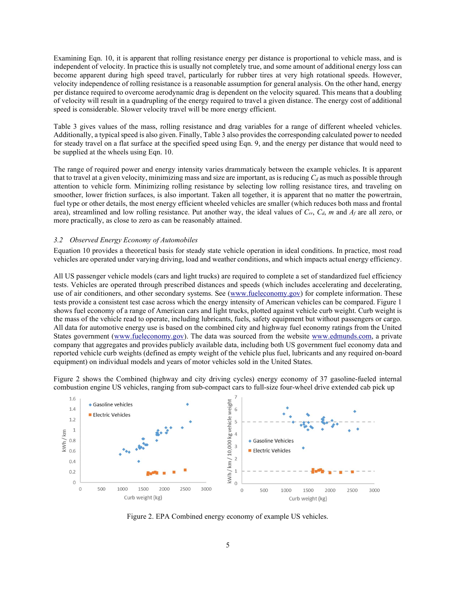Examining Eqn. 10, it is apparent that rolling resistance energy per distance is proportional to vehicle mass, and is independent of velocity. In practice this is usually not completely true, and some amount of additional energy loss can become apparent during high speed travel, particularly for rubber tires at very high rotational speeds. However, velocity independence of rolling resistance is a reasonable assumption for general analysis. On the other hand, energy per distance required to overcome aerodynamic drag is dependent on the velocity squared. This means that a doubling of velocity will result in a quadrupling of the energy required to travel a given distance. The energy cost of additional speed is considerable. Slower velocity travel will be more energy efficient.

Table 3 gives values of the mass, rolling resistance and drag variables for a range of different wheeled vehicles. Additionally, a typical speed is also given. Finally, Table 3 also provides the corresponding calculated power to needed for steady travel on a flat surface at the specified speed using Eqn. 9, and the energy per distance that would need to be supplied at the wheels using Eqn. 10.

The range of required power and energy intensity varies drammaticaly between the example vehicles. It is apparent that to travel at a given velocity, minimizing mass and size are important, as is reducing  $C_d$  as much as possible through attention to vehicle form. Minimizing rolling resistance by selecting low rolling resistance tires, and traveling on smoother, lower friction surfaces, is also important. Taken all together, it is apparent that no matter the powertrain, fuel type or other details, the most energy efficient wheeled vehicles are smaller (which reduces both mass and frontal area), streamlined and low rolling resistance. Put another way, the ideal values of  $C_{rr}$ ,  $C_d$ , m and  $A_f$  are all zero, or more practically, as close to zero as can be reasonably attained.

#### 3.2 Observed Energy Economy of Automobiles

Equation 10 provides a theoretical basis for steady state vehicle operation in ideal conditions. In practice, most road vehicles are operated under varying driving, load and weather conditions, and which impacts actual energy efficiency.

All US passenger vehicle models (cars and light trucks) are required to complete a set of standardized fuel efficiency tests. Vehicles are operated through prescribed distances and speeds (which includes accelerating and decelerating, use of air conditioners, and other secondary systems. See (www.fueleconomy.gov) for complete information. These tests provide a consistent test case across which the energy intensity of American vehicles can be compared. Figure 1 shows fuel economy of a range of American cars and light trucks, plotted against vehicle curb weight. Curb weight is the mass of the vehicle read to operate, including lubricants, fuels, safety equipment but without passengers or cargo. All data for automotive energy use is based on the combined city and highway fuel economy ratings from the United States government (www.fueleconomy.gov). The data was sourced from the website www.edmunds.com, a private company that aggregates and provides publicly available data, including both US government fuel economy data and reported vehicle curb weights (defined as empty weight of the vehicle plus fuel, lubricants and any required on-board equipment) on individual models and years of motor vehicles sold in the United States.

Figure 2 shows the Combined (highway and city driving cycles) energy economy of 37 gasoline-fueled internal combustion engine US vehicles, ranging from sub-compact cars to full-size four-wheel drive extended cab pick up



Figure 2. EPA Combined energy economy of example US vehicles.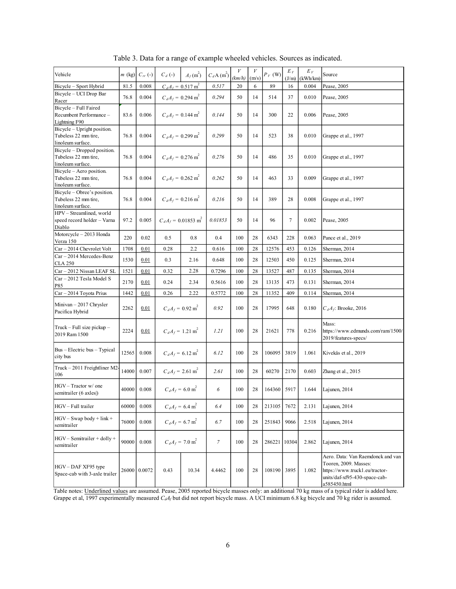|                                                                                                                                                                                                        |          |              |                                   | Table 3. Data for a range of example wheeled vehicles. Sources as indicated. |                          |        |        |              |                |                   |                                                                                                                                               |
|--------------------------------------------------------------------------------------------------------------------------------------------------------------------------------------------------------|----------|--------------|-----------------------------------|------------------------------------------------------------------------------|--------------------------|--------|--------|--------------|----------------|-------------------|-----------------------------------------------------------------------------------------------------------------------------------------------|
| Vehicle                                                                                                                                                                                                | $m$ (kg) | $C_{rr}$ (-) | $C_d$ (-)                         | $A_f(\text{m}^2)$                                                            | $C_dA$ (m <sup>2</sup> ) | (km/h) | (m/s)  | $P_V$ (W)    | $E_V$<br>(J/m) | $E_V$             | Source                                                                                                                                        |
| Bicycle - Sport Hybrid                                                                                                                                                                                 | 81.5     | 0.008        |                                   | $C_dA_f = 0.517 \text{ m}^2$                                                 | 0.517                    | 20     | 6      | 89           | 16             | (kWh/km)<br>0.004 | Pease, 2005                                                                                                                                   |
| Bicycle - UCI Drop Bar<br>Racer                                                                                                                                                                        | 76.8     | 0.004        |                                   | $C_d A_f = 0.294 \text{ m}^2$                                                | 0.294                    | 50     | 14     | 514          | 37             | 0.010             | Pease, 2005                                                                                                                                   |
| Bicycle - Full Faired<br>Recumbent Performance-<br>Lightning F90                                                                                                                                       | 83.6     | 0.006        | $C_dA_f = 0.144 \text{ m}^2$      |                                                                              | 0.144                    | 50     | 14     | 300          | 22             | 0.006             | Pease, 2005                                                                                                                                   |
| Bicycle - Upright position.<br>Tubeless 22 mm tire,<br>linoleum surface.                                                                                                                               | 76.8     | 0.004        | $C_d A_f = 0.299$ m <sup>2</sup>  |                                                                              | 0.299                    | 50     | 14     | 523          | 38             | 0.010             | Grappe et al., 1997                                                                                                                           |
| Bicycle - Dropped position.<br>Tubeless 22 mm tire,<br>linoleum surface.                                                                                                                               | 76.8     | 0.004        | $C_dA_f = 0.276 \text{ m}^2$      |                                                                              | 0.276                    | 50     | 14     | 486          | 35             | 0.010             | Grappe et al., 1997                                                                                                                           |
| Bicycle - Aero position.<br>Tubeless 22 mm tire,<br>linoleum surface.                                                                                                                                  | 76.8     | 0.004        | $C_d A_f = 0.262 \text{ m}^2$     |                                                                              | 0.262                    | 50     | 14     | 463          | 33             | 0.009             | Grappe et al., 1997                                                                                                                           |
| Bicycle - Obree's position.<br>Tubeless 22 mm tire,<br>linoleum surface.<br>HPV - Streamlined, world                                                                                                   | 76.8     | 0.004        | $C_dA_f = 0.216 \text{ m}^2$      |                                                                              | 0.216                    | 50     | 14     | 389          | 28             | 0.008             | Grappe et al., 1997                                                                                                                           |
| speed record holder - Varna<br>Diablo<br>Motorcycle - 2013 Honda                                                                                                                                       | 97.2     | 0.005        | $C_dA_f = 0.01853$ m <sup>2</sup> |                                                                              | 0.01853                  | 50     | 14     | 96           | $\tau$         | 0.002             | Pease, 2005                                                                                                                                   |
| Verza 150                                                                                                                                                                                              | 220      | 0.02         | 0.5                               | $0.8\,$                                                                      | 0.4                      | 100    | 28     | 6343         | 228            | 0.063             | Pance et al., 2019                                                                                                                            |
| Car - 2014 Chevrolet Volt<br>Car - 2014 Mercedes-Benz                                                                                                                                                  | 1708     | 0.01         | 0.28                              | 2.2                                                                          | 0.616                    | 100    | $28\,$ | 12576        | 453            | 0.126             | Sherman, 2014                                                                                                                                 |
| <b>CLA 250</b>                                                                                                                                                                                         | 1530     | 0.01         | 0.3                               | 2.16                                                                         | 0.648                    | 100    | 28     | 12503        | 450            | 0.125             | Sherman, 2014                                                                                                                                 |
| Car - 2012 Nissan LEAF SL<br>Car - 2012 Tesla Model S                                                                                                                                                  | 1521     | 0.01         | 0.32                              | 2.28                                                                         | 0.7296                   | 100    | $28\,$ | 13527        | 487            | 0.135             | Sherman, 2014                                                                                                                                 |
| P85                                                                                                                                                                                                    | 2170     | 0.01         | 0.24                              | 2.34                                                                         | 0.5616                   | 100    | 28     | 13135        | 473            | 0.131             | Sherman, 2014                                                                                                                                 |
| Car - 2014 Toyota Prius                                                                                                                                                                                | 1442     | 0.01         | 0.26                              | 2.22                                                                         | 0.5772                   | 100    | 28     | 11352        | 409            | 0.114             | Sherman, 2014                                                                                                                                 |
| Minivan - 2017 Chrysler<br>Pacifica Hybrid                                                                                                                                                             | 2262     | 0.01         |                                   | $C_dA_f = 0.92$ m <sup>2</sup>                                               | 0.92                     | 100    | 28     | 17995        | 648            | 0.180             | $C_dA_f$ : Brooke, 2016                                                                                                                       |
| Truck - Full size pickup -<br>2019 Ram 1500                                                                                                                                                            | 2224     | 0.01         | $C_d A_f = 1.21$ m <sup>2</sup>   |                                                                              | 1.21                     | 100    | 28     | 21621        | 778            | 0.216             | Mass:<br>https://www.edmunds.com/ram/1500/<br>2019/features-specs/                                                                            |
| Bus - Electric bus - Typical<br>city bus                                                                                                                                                               | 12565    | 0.008        | $C_dA_f = 6.12 \text{ m}^2$       |                                                                              | 6.12                     | 100    | 28     | 106095 3819  |                | 1.061             | Kivekäs et al., 2019                                                                                                                          |
| Truck - 2011 Freightliner M2-<br>106                                                                                                                                                                   | 14000    | 0.007        | $C_dA_f = 2.61$ m <sup>2</sup>    |                                                                              | 2.61                     | 100    | 28     | 60270        | 2170           | 0.603             | Zhang et al., 2015                                                                                                                            |
| HGV - Tractor w/ one<br>semitrailer (6 axles)                                                                                                                                                          | 40000    | 0.008        | $C_d A_f = 6.0 \text{ m}^2$       |                                                                              | 6                        | 100    | 28     | 164360 5917  |                | 1.644             | Lajunen, 2014                                                                                                                                 |
| HGV - Full trailer                                                                                                                                                                                     | 60000    | 0.008        |                                   | $C_d A_f = 6.4 \text{ m}^2$                                                  | 6.4                      | 100    | 28     | 213105 7672  |                | 2.131             | Lajunen, 2014                                                                                                                                 |
| $HGV - Swap body + link +$<br>semitrailer                                                                                                                                                              | 76000    | 0.008        |                                   | $C_d A_f = 6.7 \text{ m}^2$                                                  | 6.7                      | 100    | 28     | 251843 9066  |                | 2.518             | Lajunen, 2014                                                                                                                                 |
| HGV - Semitrailer + dolly +<br>semitrailer                                                                                                                                                             | 90000    | 0.008        |                                   | $C_d A_f = 7.0 \text{ m}^2$                                                  | $\mathcal{I}$            | 100    | 28     | 286221 10304 |                | 2.862             | Lajunen, 2014                                                                                                                                 |
| HGV-DAF XF95 type<br>Space-cab with 3-axle trailer<br>Table notes: Underlined values are assumed. Pease, 2005 reported bicycle masses only: an additional 70 kg mass of a typical rider is added here. |          | 26000 0.0072 | 0.43                              | 10.34                                                                        | 4.4462                   | 100    | 28     | 108190 3895  |                | 1.082             | Aero. Data: Van Raemdonck and van<br>Tooren, 2009. Masses:<br>https://www.truck1.eu/tractor-<br>units/daf-xf95-430-space-cab-<br>a585450.html |

Table 3. Data for a range of example wheeled vehicles. Sources as indicated.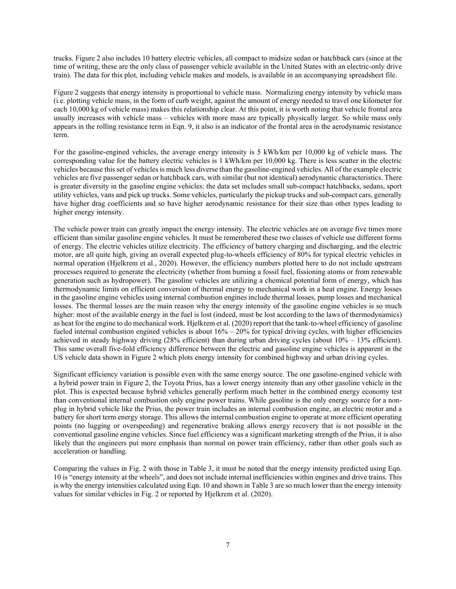trucks. Figure 2 also includes 10 battery electric vehicles, all compact to midsize sedan or hatchback cars (since at the time of writing, these are the only class of passenger vehicle available in the United States with an electric-only drive train). The data for this plot, including vehicle makes and models, is available in an accompanying spreadsheet file.

Figure 2 suggests that energy intensity is proportional to vehicle mass. Normalizing energy intensity by vehicle mass (i.e. plotting vehicle mass, in the form of curb weight, against the amount of energy needed to travel one kilometer for each 10,000 kg of vehicle mass) makes this relationship clear. At this point, it is worth noting that vehicle frontal area usually increases with vehicle mass – vehicles with more mass are typically physically larger. So while mass only appears in the rolling resistance term in Eqn. 9, it also is an indicator of the frontal area in the aerodynamic resistance term.

For the gasoline-engined vehicles, the average energy intensity is 5 kWh/km per 10,000 kg of vehicle mass. The corresponding value for the battery electric vehicles is 1 kWh/km per 10,000 kg. There is less scatter in the electric vehicles because this set of vehicles is much less diverse than the gasoline-engined vehicles. All of the example electric vehicles are five passenger sedan or hatchback cars, with similar (but not identical) aerodynamic characteristics. There is greater diversity in the gasoline engine vehicles: the data set includes small sub-compact hatchbacks, sedans, sport utility vehicles, vans and pick up trucks. Some vehicles, particularly the pickup trucks and sub-compact cars, generally have higher drag coefficients and so have higher aerodynamic resistance for their size than other types leading to higher energy intensity.

The vehicle power train can greatly impact the energy intensity. The electric vehicles are on average five times more efficient than similar gasoline engine vehicles. It must be remembered these two classes of vehicle use different forms of energy. The electric vehicles utilize electricity. The efficiency of battery charging and discharging, and the electric motor, are all quite high, giving an overall expected plug-to-wheels efficiency of 80% for typical electric vehicles in normal operation (Hjelkrem et al., 2020). However, the efficiency numbers plotted here to do not include upstream processes required to generate the electricity (whether from burning a fossil fuel, fissioning atoms or from renewable generation such as hydropower). The gasoline vehicles are utilizing a chemical potential form of energy, which has thermodynamic limits on efficient conversion of thermal energy to mechanical work in a heat engine. Energy losses in the gasoline engine vehicles using internal combustion engines include thermal losses, pump losses and mechanical losses. The thermal losses are the main reason why the energy intensity of the gasoline engine vehicles is so much higher: most of the available energy in the fuel is lost (indeed, must be lost according to the laws of thermodynamics) as heat for the engine to do mechanical work. Hjelkrem et al. (2020) report that the tank-to-wheel efficiency of gasoline fueled internal combustion engined vehicles is about 16% – 20% for typical driving cycles, with higher efficiencies achieved in steady highway driving (28% efficient) than during urban driving cycles (about 10% – 13% efficient). This same overall five-fold efficiency difference between the electric and gasoline engine vehicles is apparent in the US vehicle data shown in Figure 2 which plots energy intensity for combined highway and urban driving cycles.

Significant efficiency variation is possible even with the same energy source. The one gasoline-engined vehicle with a hybrid power train in Figure 2, the Toyota Prius, has a lower energy intensity than any other gasoline vehicle in the plot. This is expected because hybrid vehicles generally perform much better in the combined energy economy test than conventional internal combustion only engine power trains. While gasoline is the only energy source for a nonplug in hybrid vehicle like the Prius, the power train includes an internal combustion engine, an electric motor and a battery for short term energy storage. This allows the internal combustion engine to operate at more efficient operating points (no lugging or overspeeding) and regenerative braking allows energy recovery that is not possible in the conventional gasoline engine vehicles. Since fuel efficiency was a significant marketing strength of the Prius, it is also likely that the engineers put more emphasis than normal on power train efficiency, rather than other goals such as acceleration or handling.

Comparing the values in Fig. 2 with those in Table 3, it must be noted that the energy intensity predicted using Eqn. 10 is "energy intensity at the wheels", and does not include internal inefficiencies within engines and drive trains. This is why the energy intensities calculated using Eqn. 10 and shown in Table 3 are so much lower than the energy intensity values for similar vehicles in Fig. 2 or reported by Hjelkrem et al. (2020).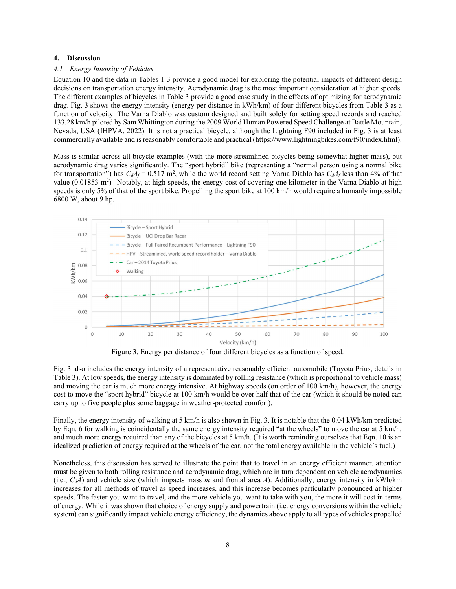#### 4. Discussion

#### 4.1 Energy Intensity of Vehicles

Equation 10 and the data in Tables 1-3 provide a good model for exploring the potential impacts of different design decisions on transportation energy intensity. Aerodynamic drag is the most important consideration at higher speeds. The different examples of bicycles in Table 3 provide a good case study in the effects of optimizing for aerodynamic drag. Fig. 3 shows the energy intensity (energy per distance in kWh/km) of four different bicycles from Table 3 as a function of velocity. The Varna Diablo was custom designed and built solely for setting speed records and reached 133.28 km/h piloted by Sam Whittington during the 2009 World Human Powered Speed Challenge at Battle Mountain, Nevada, USA (IHPVA, 2022). It is not a practical bicycle, although the Lightning F90 included in Fig. 3 is at least commercially available and is reasonably comfortable and practical (https://www.lightningbikes.com/f90/index.html).

Mass is similar across all bicycle examples (with the more streamlined bicycles being somewhat higher mass), but aerodynamic drag varies significantly. The "sport hybrid" bike (representing a "normal person using a normal bike for transportation") has  $C_dA_f = 0.517$  m<sup>2</sup>, while the world record setting Varna Diablo has  $C_dA_f$  less than 4% of that value (0.01853 m<sup>2</sup>). Notably, at high speeds, the energy cost of covering one kilometer in the Varna Diablo at high speeds is only 5% of that of the sport bike. Propelling the sport bike at 100 km/h would require a humanly impossible 6800 W, about 9 hp.



Figure 3. Energy per distance of four different bicycles as a function of speed.

Fig. 3 also includes the energy intensity of a representative reasonably efficient automobile (Toyota Prius, details in Table 3). At low speeds, the energy intensity is dominated by rolling resistance (which is proportional to vehicle mass) and moving the car is much more energy intensive. At highway speeds (on order of 100 km/h), however, the energy cost to move the "sport hybrid" bicycle at 100 km/h would be over half that of the car (which it should be noted can carry up to five people plus some baggage in weather-protected comfort).

Finally, the energy intensity of walking at 5 km/h is also shown in Fig. 3. It is notable that the 0.04 kWh/km predicted by Eqn. 6 for walking is coincidentally the same energy intensity required "at the wheels" to move the car at 5 km/h, and much more energy required than any of the bicycles at 5 km/h. (It is worth reminding ourselves that Eqn. 10 is an idealized prediction of energy required at the wheels of the car, not the total energy available in the vehicle's fuel.)

Nonetheless, this discussion has served to illustrate the point that to travel in an energy efficient manner, attention must be given to both rolling resistance and aerodynamic drag, which are in turn dependent on vehicle aerodynamics (i.e.,  $C_dA$ ) and vehicle size (which impacts mass m and frontal area A). Additionally, energy intensity in kWh/km increases for all methods of travel as speed increases, and this increase becomes particularly pronounced at higher speeds. The faster you want to travel, and the more vehicle you want to take with you, the more it will cost in terms of energy. While it was shown that choice of energy supply and powertrain (i.e. energy conversions within the vehicle system) can significantly impact vehicle energy efficiency, the dynamics above apply to all types of vehicles propelled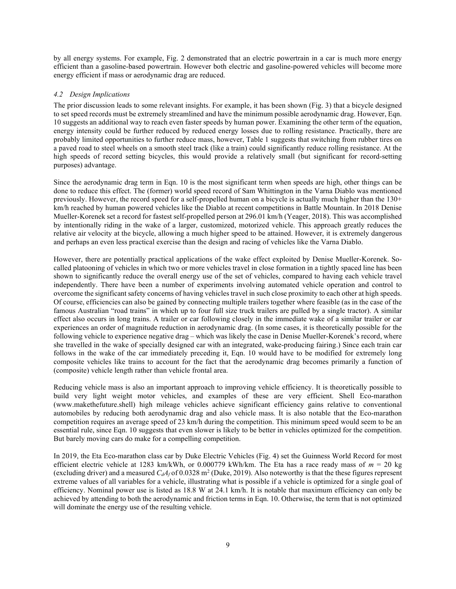by all energy systems. For example, Fig. 2 demonstrated that an electric powertrain in a car is much more energy efficient than a gasoline-based powertrain. However both electric and gasoline-powered vehicles will become more energy efficient if mass or aerodynamic drag are reduced.

## 4.2 Design Implications

The prior discussion leads to some relevant insights. For example, it has been shown (Fig. 3) that a bicycle designed to set speed records must be extremely streamlined and have the minimum possible aerodynamic drag. However, Eqn. 10 suggests an additional way to reach even faster speeds by human power. Examining the other term of the equation, energy intensity could be further reduced by reduced energy losses due to rolling resistance. Practically, there are probably limited opportunities to further reduce mass, however, Table 1 suggests that switching from rubber tires on a paved road to steel wheels on a smooth steel track (like a train) could significantly reduce rolling resistance. At the high speeds of record setting bicycles, this would provide a relatively small (but significant for record-setting purposes) advantage.

Since the aerodynamic drag term in Eqn. 10 is the most significant term when speeds are high, other things can be done to reduce this effect. The (former) world speed record of Sam Whittington in the Varna Diablo was mentioned previously. However, the record speed for a self-propelled human on a bicycle is actually much higher than the 130+ km/h reached by human powered vehicles like the Diablo at recent competitions in Battle Mountain. In 2018 Denise Mueller-Korenek set a record for fastest self-propelled person at 296.01 km/h (Yeager, 2018). This was accomplished by intentionally riding in the wake of a larger, customized, motorized vehicle. This approach greatly reduces the relative air velocity at the bicycle, allowing a much higher speed to be attained. However, it is extremely dangerous and perhaps an even less practical exercise than the design and racing of vehicles like the Varna Diablo.

However, there are potentially practical applications of the wake effect exploited by Denise Mueller-Korenek. Socalled platooning of vehicles in which two or more vehicles travel in close formation in a tightly spaced line has been shown to significantly reduce the overall energy use of the set of vehicles, compared to having each vehicle travel independently. There have been a number of experiments involving automated vehicle operation and control to overcome the significant safety concerns of having vehicles travel in such close proximity to each other at high speeds. Of course, efficiencies can also be gained by connecting multiple trailers together where feasible (as in the case of the famous Australian "road trains" in which up to four full size truck trailers are pulled by a single tractor). A similar effect also occurs in long trains. A trailer or car following closely in the immediate wake of a similar trailer or car experiences an order of magnitude reduction in aerodynamic drag. (In some cases, it is theoretically possible for the following vehicle to experience negative drag – which was likely the case in Denise Mueller-Korenek's record, where she travelled in the wake of specially designed car with an integrated, wake-producing fairing.) Since each train car follows in the wake of the car immediately preceding it. Eqn. 10 would have to be modified for extremely long composite vehicles like trains to account for the fact that the aerodynamic drag becomes primarily a function of (composite) vehicle length rather than vehicle frontal area.

Reducing vehicle mass is also an important approach to improving vehicle efficiency. It is theoretically possible to build very light weight motor vehicles, and examples of these are very efficient. Shell Eco-marathon (www.makethefuture.shell) high mileage vehicles achieve significant efficiency gains relative to conventional automobiles by reducing both aerodynamic drag and also vehicle mass. It is also notable that the Eco-marathon competition requires an average speed of 23 km/h during the competition. This minimum speed would seem to be an essential rule, since Eqn. 10 suggests that even slower is likely to be better in vehicles optimized for the competition. But barely moving cars do make for a compelling competition.

In 2019, the Eta Eco-marathon class car by Duke Electric Vehicles (Fig. 4) set the Guinness World Record for most efficient electric vehicle at 1283 km/kWh, or 0.000779 kWh/km. The Eta has a race ready mass of  $m = 20$  kg (excluding driver) and a measured  $C_dA_f$  of 0.0328 m<sup>2</sup> (Duke, 2019). Also noteworthy is that the these figures represent extreme values of all variables for a vehicle, illustrating what is possible if a vehicle is optimized for a single goal of efficiency. Nominal power use is listed as 18.8 W at 24.1 km/h. It is notable that maximum efficiency can only be achieved by attending to both the aerodynamic and friction terms in Eqn. 10. Otherwise, the term that is not optimized will dominate the energy use of the resulting vehicle.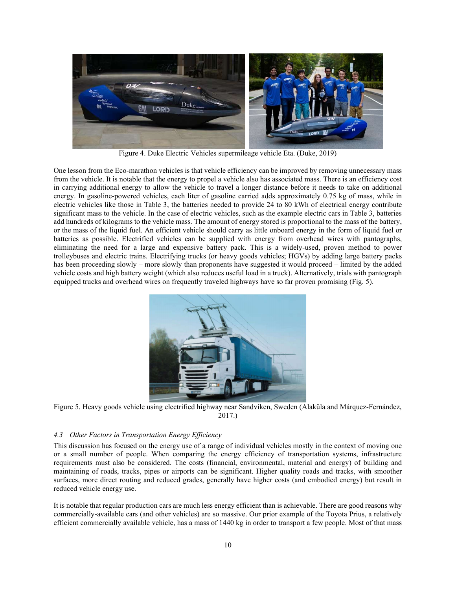

Figure 4. Duke Electric Vehicles supermileage vehicle Eta. (Duke, 2019)

One lesson from the Eco-marathon vehicles is that vehicle efficiency can be improved by removing unnecessary mass from the vehicle. It is notable that the energy to propel a vehicle also has associated mass. There is an efficiency cost in carrying additional energy to allow the vehicle to travel a longer distance before it needs to take on additional energy. In gasoline-powered vehicles, each liter of gasoline carried adds approximately 0.75 kg of mass, while in electric vehicles like those in Table 3, the batteries needed to provide 24 to 80 kWh of electrical energy contribute significant mass to the vehicle. In the case of electric vehicles, such as the example electric cars in Table 3, batteries add hundreds of kilograms to the vehicle mass. The amount of energy stored is proportional to the mass of the battery, or the mass of the liquid fuel. An efficient vehicle should carry as little onboard energy in the form of liquid fuel or batteries as possible. Electrified vehicles can be supplied with energy from overhead wires with pantographs, eliminating the need for a large and expensive battery pack. This is a widely-used, proven method to power trolleybuses and electric trains. Electrifying trucks (or heavy goods vehicles; HGVs) by adding large battery packs has been proceeding slowly – more slowly than proponents have suggested it would proceed – limited by the added vehicle costs and high battery weight (which also reduces useful load in a truck). Alternatively, trials with pantograph equipped trucks and overhead wires on frequently traveled highways have so far proven promising (Fig. 5).



Figure 5. Heavy goods vehicle using electrified highway near Sandviken, Sweden (Alaküla and Márquez-Fernández, 2017.)

# 4.3 Other Factors in Transportation Energy Efficiency

This discussion has focused on the energy use of a range of individual vehicles mostly in the context of moving one or a small number of people. When comparing the energy efficiency of transportation systems, infrastructure requirements must also be considered. The costs (financial, environmental, material and energy) of building and maintaining of roads, tracks, pipes or airports can be significant. Higher quality roads and tracks, with smoother surfaces, more direct routing and reduced grades, generally have higher costs (and embodied energy) but result in reduced vehicle energy use.

It is notable that regular production cars are much less energy efficient than is achievable. There are good reasons why commercially-available cars (and other vehicles) are so massive. Our prior example of the Toyota Prius, a relatively efficient commercially available vehicle, has a mass of 1440 kg in order to transport a few people. Most of that mass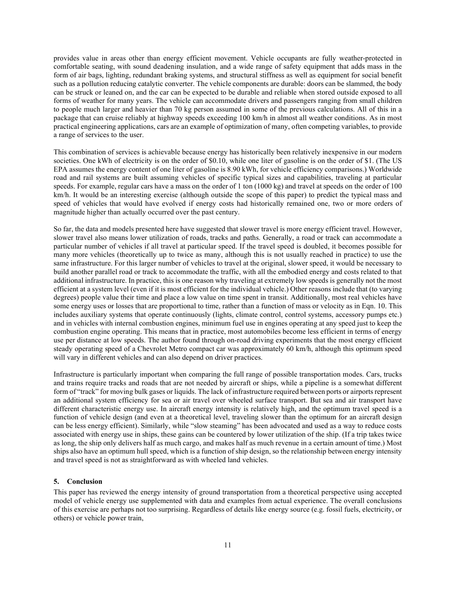provides value in areas other than energy efficient movement. Vehicle occupants are fully weather-protected in comfortable seating, with sound deadening insulation, and a wide range of safety equipment that adds mass in the form of air bags, lighting, redundant braking systems, and structural stiffness as well as equipment for social benefit such as a pollution reducing catalytic converter. The vehicle components are durable: doors can be slammed, the body can be struck or leaned on, and the car can be expected to be durable and reliable when stored outside exposed to all forms of weather for many years. The vehicle can accommodate drivers and passengers ranging from small children to people much larger and heavier than 70 kg person assumed in some of the previous calculations. All of this in a package that can cruise reliably at highway speeds exceeding 100 km/h in almost all weather conditions. As in most practical engineering applications, cars are an example of optimization of many, often competing variables, to provide a range of services to the user.

This combination of services is achievable because energy has historically been relatively inexpensive in our modern societies. One kWh of electricity is on the order of \$0.10, while one liter of gasoline is on the order of \$1. (The US EPA assumes the energy content of one liter of gasoline is 8.90 kWh, for vehicle efficiency comparisons.) Worldwide road and rail systems are built assuming vehicles of specific typical sizes and capabilities, traveling at particular speeds. For example, regular cars have a mass on the order of 1 ton (1000 kg) and travel at speeds on the order of 100 km/h. It would be an interesting exercise (although outside the scope of this paper) to predict the typical mass and speed of vehicles that would have evolved if energy costs had historically remained one, two or more orders of magnitude higher than actually occurred over the past century.

So far, the data and models presented here have suggested that slower travel is more energy efficient travel. However, slower travel also means lower utilization of roads, tracks and paths. Generally, a road or track can accommodate a particular number of vehicles if all travel at particular speed. If the travel speed is doubled, it becomes possible for many more vehicles (theoretically up to twice as many, although this is not usually reached in practice) to use the same infrastructure. For this larger number of vehicles to travel at the original, slower speed, it would be necessary to build another parallel road or track to accommodate the traffic, with all the embodied energy and costs related to that additional infrastructure. In practice, this is one reason why traveling at extremely low speeds is generally not the most efficient at a system level (even if it is most efficient for the individual vehicle.) Other reasons include that (to varying degrees) people value their time and place a low value on time spent in transit. Additionally, most real vehicles have some energy uses or losses that are proportional to time, rather than a function of mass or velocity as in Eqn. 10. This includes auxiliary systems that operate continuously (lights, climate control, control systems, accessory pumps etc.) and in vehicles with internal combustion engines, minimum fuel use in engines operating at any speed just to keep the combustion engine operating. This means that in practice, most automobiles become less efficient in terms of energy use per distance at low speeds. The author found through on-road driving experiments that the most energy efficient steady operating speed of a Chevrolet Metro compact car was approximately 60 km/h, although this optimum speed will vary in different vehicles and can also depend on driver practices.

Infrastructure is particularly important when comparing the full range of possible transportation modes. Cars, trucks and trains require tracks and roads that are not needed by aircraft or ships, while a pipeline is a somewhat different form of "track" for moving bulk gases or liquids. The lack of infrastructure required between ports or airports represent an additional system efficiency for sea or air travel over wheeled surface transport. But sea and air transport have different characteristic energy use. In aircraft energy intensity is relatively high, and the optimum travel speed is a function of vehicle design (and even at a theoretical level, traveling slower than the optimum for an aircraft design can be less energy efficient). Similarly, while "slow steaming" has been advocated and used as a way to reduce costs associated with energy use in ships, these gains can be countered by lower utilization of the ship. (If a trip takes twice as long, the ship only delivers half as much cargo, and makes half as much revenue in a certain amount of time.) Most ships also have an optimum hull speed, which is a function of ship design, so the relationship between energy intensity and travel speed is not as straightforward as with wheeled land vehicles.

## 5. Conclusion

This paper has reviewed the energy intensity of ground transportation from a theoretical perspective using accepted model of vehicle energy use supplemented with data and examples from actual experience. The overall conclusions of this exercise are perhaps not too surprising. Regardless of details like energy source (e.g. fossil fuels, electricity, or others) or vehicle power train,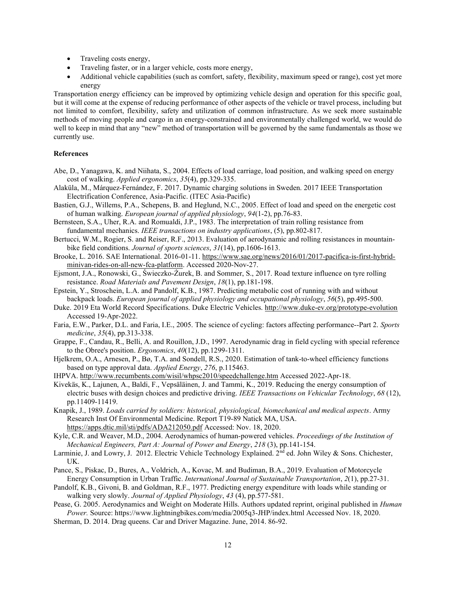- Traveling costs energy,
- Traveling faster, or in a larger vehicle, costs more energy,
- Additional vehicle capabilities (such as comfort, safety, flexibility, maximum speed or range), cost yet more energy

Transportation energy efficiency can be improved by optimizing vehicle design and operation for this specific goal, but it will come at the expense of reducing performance of other aspects of the vehicle or travel process, including but not limited to comfort, flexibility, safety and utilization of common infrastructure. As we seek more sustainable methods of moving people and cargo in an energy-constrained and environmentally challenged world, we would do well to keep in mind that any "new" method of transportation will be governed by the same fundamentals as those we currently use.

#### References

- Abe, D., Yanagawa, K. and Niihata, S., 2004. Effects of load carriage, load position, and walking speed on energy cost of walking. Applied ergonomics, 35(4), pp.329-335.
- Alaküla, M., Márquez-Fernández, F. 2017. Dynamic charging solutions in Sweden. 2017 IEEE Transportation Electrification Conference, Asia-Pacific. (ITEC Asia-Pacific)
- Bastien, G.J., Willems, P.A., Schepens, B. and Heglund, N.C., 2005. Effect of load and speed on the energetic cost of human walking. European journal of applied physiology, 94(1-2), pp.76-83.
- Bernsteen, S.A., Uher, R.A. and Romualdi, J.P., 1983. The interpretation of train rolling resistance from fundamental mechanics. IEEE transactions on industry applications, (5), pp.802-817.
- Bertucci, W.M., Rogier, S. and Reiser, R.F., 2013. Evaluation of aerodynamic and rolling resistances in mountainbike field conditions. Journal of sports sciences, 31(14), pp.1606-1613.
- Brooke, L. 2016. SAE International. 2016-01-11. https://www.sae.org/news/2016/01/2017-pacifica-is-first-hybridminivan-rides-on-all-new-fca-platform. Accessed 2020-Nov-27.
- Ejsmont, J.A., Ronowski, G., Świeczko-Żurek, B. and Sommer, S., 2017. Road texture influence on tyre rolling resistance. Road Materials and Pavement Design, 18(1), pp.181-198.
- Epstein, Y., Stroschein, L.A. and Pandolf, K.B., 1987. Predicting metabolic cost of running with and without backpack loads. European journal of applied physiology and occupational physiology, 56(5), pp.495-500.
- Duke. 2019 Eta World Record Specifications. Duke Electric Vehicles. http://www.duke-ev.org/prototype-evolution Accessed 19-Apr-2022.
- Faria, E.W., Parker, D.L. and Faria, I.E., 2005. The science of cycling: factors affecting performance--Part 2. Sports medicine, 35(4), pp.313-338.
- Grappe, F., Candau, R., Belli, A. and Rouillon, J.D., 1997. Aerodynamic drag in field cycling with special reference to the Obree's position. Ergonomics,  $40(12)$ , pp.1299-1311.
- Hjelkrem, O.A., Arnesen, P., Bø, T.A. and Sondell, R.S., 2020. Estimation of tank-to-wheel efficiency functions based on type approval data. Applied Energy, 276, p.115463.
- IHPVA. http://www.recumbents.com/wisil/whpsc2010/speedchallenge.htm Accessed 2022-Apr-18.
- Kivekäs, K., Lajunen, A., Baldi, F., Vepsäläinen, J. and Tammi, K., 2019. Reducing the energy consumption of electric buses with design choices and predictive driving. IEEE Transactions on Vehicular Technology, 68 (12), pp.11409-11419.
- Knapik, J., 1989. Loads carried by soldiers: historical, physiological, biomechanical and medical aspects. Army Research Inst Of Environmental Medicine. Report T19-89 Natick MA, USA. https://apps.dtic.mil/sti/pdfs/ADA212050.pdf Accessed: Nov. 18, 2020.
- Kyle, C.R. and Weaver, M.D., 2004. Aerodynamics of human-powered vehicles. Proceedings of the Institution of Mechanical Engineers, Part A: Journal of Power and Energy, 218 (3), pp.141-154.
- Larminie, J. and Lowry, J. 2012. Electric Vehicle Technology Explained. 2<sup>nd</sup> ed. John Wiley & Sons. Chichester, UK.
- Pance, S., Piskac, D., Bures, A., Voldrich, A., Kovac, M. and Budiman, B.A., 2019. Evaluation of Motorcycle Energy Consumption in Urban Traffic. International Journal of Sustainable Transportation, 2(1), pp.27-31.
- Pandolf, K.B., Givoni, B. and Goldman, R.F., 1977. Predicting energy expenditure with loads while standing or walking very slowly. Journal of Applied Physiology, 43 (4), pp.577-581.
- Pease, G. 2005. Aerodynamics and Weight on Moderate Hills. Authors updated reprint, original published in *Human* Power. Source: https://www.lightningbikes.com/media/2005q3-JHP/index.html Accessed Nov. 18, 2020.
- Sherman, D. 2014. Drag queens. Car and Driver Magazine. June, 2014. 86-92.